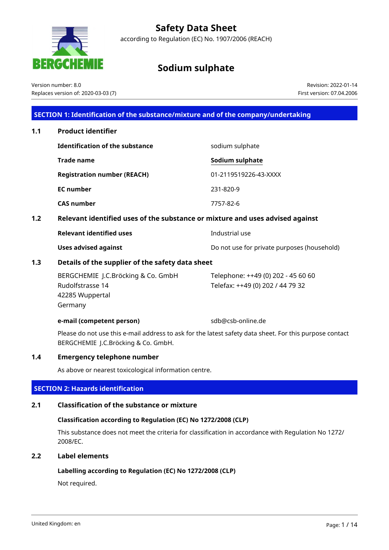# **Safety Data Sheet**

according to Regulation (EC) No. 1907/2006 (REACH)

# **Sodium sulphate**

Version number: 8.0 Replaces version of: 2020-03-03 (7)

34 E

Revision: 2022-01-14 First version: 07.04.2006

### **SECTION 1: Identification of the substance/mixture and of the company/undertaking**

| 1.1 | <b>Product identifier</b>                                                     |                                                                        |
|-----|-------------------------------------------------------------------------------|------------------------------------------------------------------------|
|     | <b>Identification of the substance</b>                                        | sodium sulphate                                                        |
|     | <b>Trade name</b>                                                             | Sodium sulphate                                                        |
|     | <b>Registration number (REACH)</b>                                            | 01-2119519226-43-XXXX                                                  |
|     | <b>EC</b> number                                                              | 231-820-9                                                              |
|     | <b>CAS number</b>                                                             | 7757-82-6                                                              |
| 1.2 | Relevant identified uses of the substance or mixture and uses advised against |                                                                        |
|     | <b>Relevant identified uses</b>                                               | Industrial use                                                         |
|     | <b>Uses advised against</b>                                                   | Do not use for private purposes (household)                            |
| 1.3 | Details of the supplier of the safety data sheet                              |                                                                        |
|     | BERGCHEMIE J.C.Bröcking & Co. GmbH<br>Rudolfstrasse 14<br>42285 Wuppertal     | Telephone: ++49 (0) 202 - 45 60 60<br>Telefax: ++49 (0) 202 / 44 79 32 |

**e-mail (competent person)** sdb@csb-online.de

Please do not use this e-mail address to ask for the latest safety data sheet. For this purpose contact BERGCHEMIE J.C.Bröcking & Co. GmbH.

### **1.4 Emergency telephone number**

As above or nearest toxicological information centre.

### **SECTION 2: Hazards identification**

### **2.1 Classification of the substance or mixture**

### **Classification according to Regulation (EC) No 1272/2008 (CLP)**

This substance does not meet the criteria for classification in accordance with Regulation No 1272/ 2008/EC.

### **2.2 Label elements**

Germany

### **Labelling according to Regulation (EC) No 1272/2008 (CLP)**

Not required.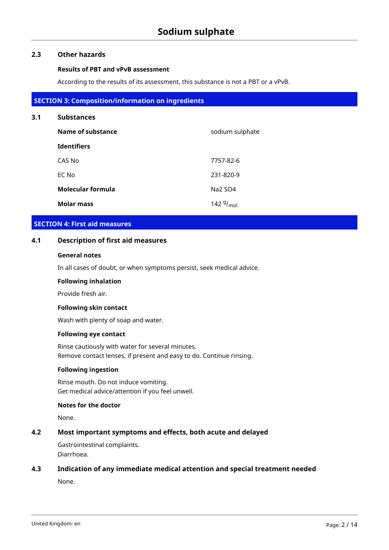### **2.3 Other hazards**

#### **Results of PBT and vPvB assessment**

According to the results of its assessment, this substance is not a PBT or a vPvB.

### **SECTION 3: Composition/information on ingredients**

## **3.1 Substances**

| Name of substance        | sodium sulphate         |
|--------------------------|-------------------------|
| <b>Identifiers</b>       |                         |
| CAS No                   | 7757-82-6               |
| EC No                    | 231-820-9               |
| <b>Molecular formula</b> | Na2 SO4                 |
| <b>Molar mass</b>        | 142 $9/$ <sub>mol</sub> |

### **SECTION 4: First aid measures**

### **4.1 Description of first aid measures**

### **General notes**

In all cases of doubt, or when symptoms persist, seek medical advice.

#### **Following inhalation**

Provide fresh air.

### **Following skin contact**

Wash with plenty of soap and water.

### **Following eye contact**

Rinse cautiously with water for several minutes. Remove contact lenses, if present and easy to do. Continue rinsing.

## **Following ingestion**

Rinse mouth. Do not induce vomiting. Get medical advice/attention if you feel unwell.

### **Notes for the doctor**

None.

## **4.2 Most important symptoms and effects, both acute and delayed**

Gastrointestinal complaints. Diarrhoea.

### **4.3 Indication of any immediate medical attention and special treatment needed**

None.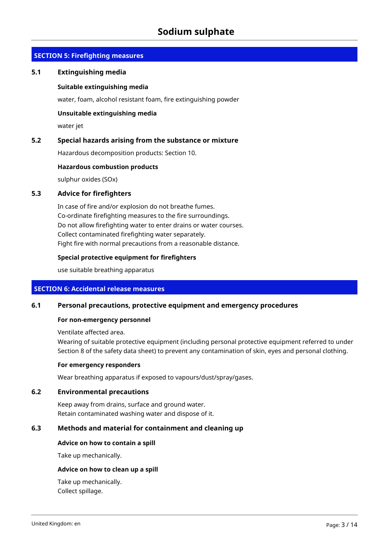## **SECTION 5: Firefighting measures**

### **5.1 Extinguishing media**

### **Suitable extinguishing media**

water, foam, alcohol resistant foam, fire extinguishing powder

### **Unsuitable extinguishing media**

water jet

### **5.2 Special hazards arising from the substance or mixture**

Hazardous decomposition products: Section 10.

### **Hazardous combustion products**

sulphur oxides (SOx)

### **5.3 Advice for firefighters**

In case of fire and/or explosion do not breathe fumes. Co-ordinate firefighting measures to the fire surroundings. Do not allow firefighting water to enter drains or water courses. Collect contaminated firefighting water separately. Fight fire with normal precautions from a reasonable distance.

### **Special protective equipment for firefighters**

use suitable breathing apparatus

### **SECTION 6: Accidental release measures**

### **6.1 Personal precautions, protective equipment and emergency procedures**

#### **For non-emergency personnel**

Ventilate affected area.

Wearing of suitable protective equipment (including personal protective equipment referred to under Section 8 of the safety data sheet) to prevent any contamination of skin, eyes and personal clothing.

#### **For emergency responders**

Wear breathing apparatus if exposed to vapours/dust/spray/gases.

### **6.2 Environmental precautions**

Keep away from drains, surface and ground water. Retain contaminated washing water and dispose of it.

### **6.3 Methods and material for containment and cleaning up**

### **Advice on how to contain a spill**

Take up mechanically.

#### **Advice on how to clean up a spill**

Take up mechanically. Collect spillage.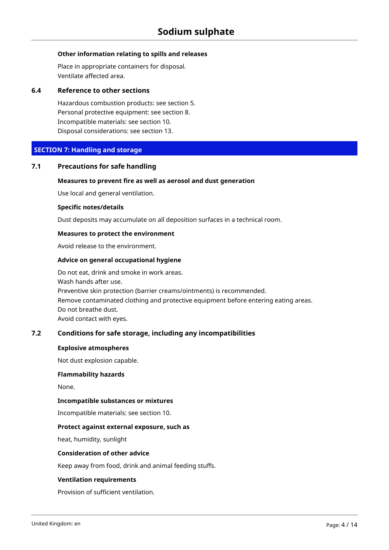### **Other information relating to spills and releases**

Place in appropriate containers for disposal. Ventilate affected area.

### **6.4 Reference to other sections**

Hazardous combustion products: see section 5. Personal protective equipment: see section 8. Incompatible materials: see section 10. Disposal considerations: see section 13.

## **SECTION 7: Handling and storage**

### **7.1 Precautions for safe handling**

### **Measures to prevent fire as well as aerosol and dust generation**

Use local and general ventilation.

#### **Specific notes/details**

Dust deposits may accumulate on all deposition surfaces in a technical room.

#### **Measures to protect the environment**

Avoid release to the environment.

#### **Advice on general occupational hygiene**

Do not eat, drink and smoke in work areas. Wash hands after use. Preventive skin protection (barrier creams/ointments) is recommended. Remove contaminated clothing and protective equipment before entering eating areas. Do not breathe dust. Avoid contact with eyes.

### **7.2 Conditions for safe storage, including any incompatibilities**

#### **Explosive atmospheres**

Not dust explosion capable.

#### **Flammability hazards**

None.

### **Incompatible substances or mixtures**

Incompatible materials: see section 10.

### **Protect against external exposure, such as**

heat, humidity, sunlight

### **Consideration of other advice**

Keep away from food, drink and animal feeding stuffs.

### **Ventilation requirements**

Provision of sufficient ventilation.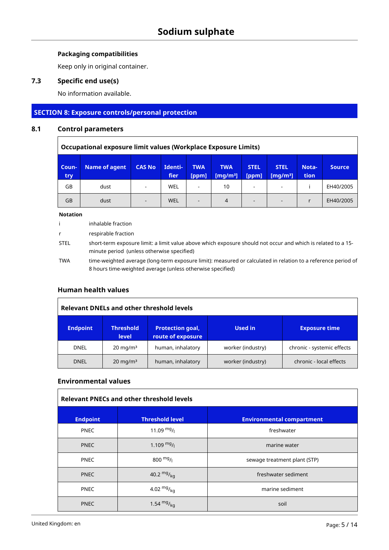# **Packaging compatibilities**

Keep only in original container.

# **7.3 Specific end use(s)**

No information available.

# **SECTION 8: Exposure controls/personal protection**

# **8.1 Control parameters**

|                                                                                                                                                                                                                               | Occupational exposure limit values (Workplace Exposure Limits) |                          |     |                          |    |                          |  |  |           |
|-------------------------------------------------------------------------------------------------------------------------------------------------------------------------------------------------------------------------------|----------------------------------------------------------------|--------------------------|-----|--------------------------|----|--------------------------|--|--|-----------|
| <b>CAS No</b><br><b>TWA</b><br>Identi-<br><b>STEL</b><br><b>Name of agent</b><br><b>TWA</b><br><b>STEL</b><br>Nota-<br>Coun-<br><b>Source</b><br>fier<br>tion<br>[ppm]<br>[ppm]<br>[mq/m <sup>3</sup> ]<br>[mg/m $3$ ]<br>try |                                                                |                          |     |                          |    |                          |  |  |           |
| GB                                                                                                                                                                                                                            | dust                                                           | ٠                        | WEL | $\overline{\phantom{a}}$ | 10 |                          |  |  | EH40/2005 |
| GB                                                                                                                                                                                                                            | dust                                                           | $\overline{\phantom{a}}$ | WEL | $\overline{\phantom{a}}$ | 4  | $\overline{\phantom{a}}$ |  |  | EH40/2005 |

#### **Notation**

|             | inhalable fraction                                                                                                                                                          |
|-------------|-----------------------------------------------------------------------------------------------------------------------------------------------------------------------------|
| r.          | respirable fraction                                                                                                                                                         |
| <b>STEL</b> | short-term exposure limit: a limit value above which exposure should not occur and which is related to a 15-<br>minute period (unless otherwise specified)                  |
| <b>TWA</b>  | time-weighted average (long-term exposure limit): measured or calculated in relation to a reference period of<br>8 hours time-weighted average (unless otherwise specified) |

## **Human health values**

| <b>Relevant DNELs and other threshold levels</b> |                                  |                                              |                   |                            |  |  |  |
|--------------------------------------------------|----------------------------------|----------------------------------------------|-------------------|----------------------------|--|--|--|
| <b>Endpoint</b>                                  | <b>Threshold</b><br><b>level</b> | <b>Protection goal,</b><br>route of exposure | <b>Used in</b>    | <b>Exposure time</b>       |  |  |  |
| <b>DNEL</b>                                      | $20 \text{ mg/m}^3$              | human, inhalatory                            | worker (industry) | chronic - systemic effects |  |  |  |
| <b>DNEL</b>                                      | $20 \text{ mg/m}^3$              | human, inhalatory                            | worker (industry) | chronic - local effects    |  |  |  |

### **Environmental values**

| <b>Relevant PNECs and other threshold levels</b> |                        |                                  |  |  |  |  |  |  |
|--------------------------------------------------|------------------------|----------------------------------|--|--|--|--|--|--|
| <b>Endpoint</b>                                  | <b>Threshold level</b> | <b>Environmental compartment</b> |  |  |  |  |  |  |
| <b>PNEC</b>                                      | 11.09 $mg/$            | freshwater                       |  |  |  |  |  |  |
| <b>PNEC</b>                                      | 1.109 $mg/$            | marine water                     |  |  |  |  |  |  |
| <b>PNEC</b>                                      | 800 $mg/1$             | sewage treatment plant (STP)     |  |  |  |  |  |  |
| <b>PNEC</b>                                      | 40.2 $mg/kq$           | freshwater sediment              |  |  |  |  |  |  |
| <b>PNEC</b>                                      | 4.02 $mg/_{kq}$        | marine sediment                  |  |  |  |  |  |  |
| <b>PNEC</b>                                      | 1.54 $mg/kq$           | soil                             |  |  |  |  |  |  |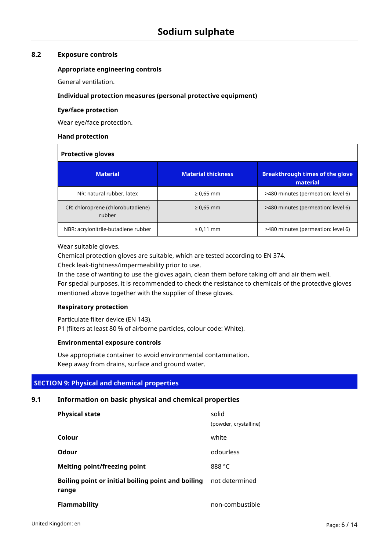### **8.2 Exposure controls**

### **Appropriate engineering controls**

General ventilation.

### **Individual protection measures (personal protective equipment)**

### **Eye/face protection**

Wear eye/face protection.

### **Hand protection**

| <b>Protective gloves</b>                    |                           |                                                    |  |  |  |  |  |
|---------------------------------------------|---------------------------|----------------------------------------------------|--|--|--|--|--|
| <b>Material</b>                             | <b>Material thickness</b> | <b>Breakthrough times of the glove</b><br>material |  |  |  |  |  |
| NR: natural rubber, latex                   | $\geq 0.65$ mm            | >480 minutes (permeation: level 6)                 |  |  |  |  |  |
| CR: chloroprene (chlorobutadiene)<br>rubber | $\geq 0.65$ mm            | >480 minutes (permeation: level 6)                 |  |  |  |  |  |
| NBR: acrylonitrile-butadiene rubber         | $\geq 0.11$ mm            | >480 minutes (permeation: level 6)                 |  |  |  |  |  |

Wear suitable gloves.

Chemical protection gloves are suitable, which are tested according to EN 374.

Check leak-tightness/impermeability prior to use.

In the case of wanting to use the gloves again, clean them before taking off and air them well. For special purposes, it is recommended to check the resistance to chemicals of the protective gloves mentioned above together with the supplier of these gloves.

## **Respiratory protection**

Particulate filter device (EN 143).

P1 (filters at least 80 % of airborne particles, colour code: White).

## **Environmental exposure controls**

Use appropriate container to avoid environmental contamination. Keep away from drains, surface and ground water.

## **SECTION 9: Physical and chemical properties**

## **9.1 Information on basic physical and chemical properties**

| <b>Physical state</b>                                       | solid<br>(powder, crystalline) |
|-------------------------------------------------------------|--------------------------------|
| Colour                                                      | white                          |
| Odour                                                       | odourless                      |
| <b>Melting point/freezing point</b>                         | 888 °C                         |
| Boiling point or initial boiling point and boiling<br>range | not determined                 |
| <b>Flammability</b>                                         | non-combustible                |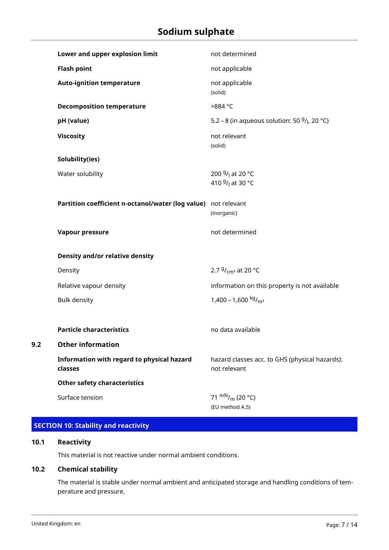| Lower and upper explosion limit                                | not determined                                                                       |
|----------------------------------------------------------------|--------------------------------------------------------------------------------------|
| <b>Flash point</b>                                             | not applicable                                                                       |
| <b>Auto-ignition temperature</b>                               | not applicable<br>(solid)                                                            |
| <b>Decomposition temperature</b>                               | >884 °C                                                                              |
| pH (value)                                                     | 5.2 – 8 (in aqueous solution: 50 $9/$ <sub>l</sub> , 20 °C)                          |
| <b>Viscosity</b>                                               | not relevant<br>(solid)                                                              |
| Solubility(ies)                                                |                                                                                      |
| Water solubility                                               | 200 <sup>g</sup> / <sub>l</sub> at 20 °C<br>410 <sup>g</sup> / <sub>l</sub> at 30 °C |
| Partition coefficient n-octanol/water (log value) not relevant | (inorganic)                                                                          |
| <b>Vapour pressure</b>                                         | not determined                                                                       |
| Density and/or relative density                                |                                                                                      |
| Density                                                        | 2.7 $9/$ <sub>cm</sub> <sup>3</sup> at 20 °C                                         |
| Relative vapour density                                        | information on this property is not available                                        |
| <b>Bulk density</b>                                            | 1,400 - 1,600 $kg/m3$                                                                |
|                                                                |                                                                                      |
| <b>Particle characteristics</b>                                | no data available                                                                    |
| <b>Other information</b>                                       |                                                                                      |
| Information with regard to physical hazard<br>classes          | hazard classes acc. to GHS (physical hazards):<br>not relevant                       |
| <b>Other safety characteristics</b>                            |                                                                                      |
| Surface tension                                                | 71 m <sup>N</sup> / <sub>m</sub> (20 °C)<br>(EU method A.5)                          |

# **SECTION 10: Stability and reactivity**

### **10.1 Reactivity**

**9.2 Other information**

This material is not reactive under normal ambient conditions.

# **10.2 Chemical stability**

The material is stable under normal ambient and anticipated storage and handling conditions of temperature and pressure.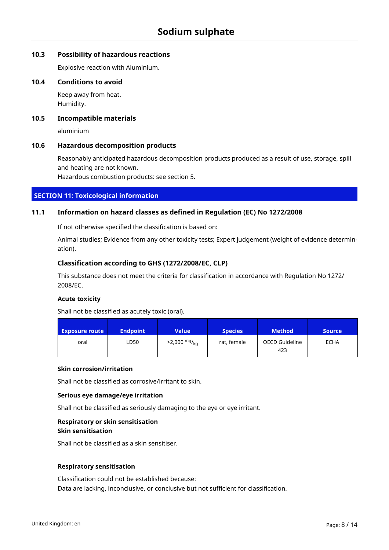### **10.3 Possibility of hazardous reactions**

Explosive reaction with Aluminium.

### **10.4 Conditions to avoid**

Keep away from heat. Humidity.

### **10.5 Incompatible materials**

aluminium

### **10.6 Hazardous decomposition products**

Reasonably anticipated hazardous decomposition products produced as a result of use, storage, spill and heating are not known.

Hazardous combustion products: see section 5.

### **SECTION 11: Toxicological information**

## **11.1 Information on hazard classes as defined in Regulation (EC) No 1272/2008**

If not otherwise specified the classification is based on:

Animal studies; Evidence from any other toxicity tests; Expert judgement (weight of evidence determination).

### **Classification according to GHS (1272/2008/EC, CLP)**

This substance does not meet the criteria for classification in accordance with Regulation No 1272/ 2008/EC.

### **Acute toxicity**

Shall not be classified as acutely toxic (oral).

| <b>Exposure route</b> | <b>Endpoint</b> | Value                  | <b>Species</b> | <b>Method</b>         | <b>Source</b> |
|-----------------------|-----------------|------------------------|----------------|-----------------------|---------------|
| oral                  | LD50            | $>2,000 \frac{mg}{kg}$ | rat, female    | OECD Guideline<br>423 | <b>ECHA</b>   |

### **Skin corrosion/irritation**

Shall not be classified as corrosive/irritant to skin.

### **Serious eye damage/eye irritation**

Shall not be classified as seriously damaging to the eye or eye irritant.

### **Respiratory or skin sensitisation Skin sensitisation**

Shall not be classified as a skin sensitiser.

### **Respiratory sensitisation**

Classification could not be established because: Data are lacking, inconclusive, or conclusive but not sufficient for classification.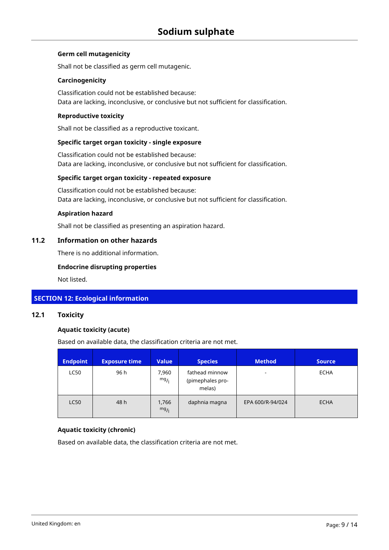### **Germ cell mutagenicity**

Shall not be classified as germ cell mutagenic.

### **Carcinogenicity**

Classification could not be established because: Data are lacking, inconclusive, or conclusive but not sufficient for classification.

### **Reproductive toxicity**

Shall not be classified as a reproductive toxicant.

### **Specific target organ toxicity - single exposure**

Classification could not be established because: Data are lacking, inconclusive, or conclusive but not sufficient for classification.

### **Specific target organ toxicity - repeated exposure**

Classification could not be established because: Data are lacking, inconclusive, or conclusive but not sufficient for classification.

#### **Aspiration hazard**

Shall not be classified as presenting an aspiration hazard.

### **11.2 Information on other hazards**

There is no additional information.

### **Endocrine disrupting properties**

Not listed.

### **SECTION 12: Ecological information**

### **12.1 Toxicity**

### **Aquatic toxicity (acute)**

Based on available data, the classification criteria are not met.

| <b>Endpoint</b> | <b>Exposure time</b> | <b>Value</b>  | <b>Species</b>                               | <b>Method</b>    | <b>Source</b> |
|-----------------|----------------------|---------------|----------------------------------------------|------------------|---------------|
| <b>LC50</b>     | 96 h                 | 7,960<br>mg/1 | fathead minnow<br>(pimephales pro-<br>melas) |                  | <b>ECHA</b>   |
| <b>LC50</b>     | 48 h                 | 1,766<br>mg/1 | daphnia magna                                | EPA 600/R-94/024 | <b>ECHA</b>   |

### **Aquatic toxicity (chronic)**

Based on available data, the classification criteria are not met.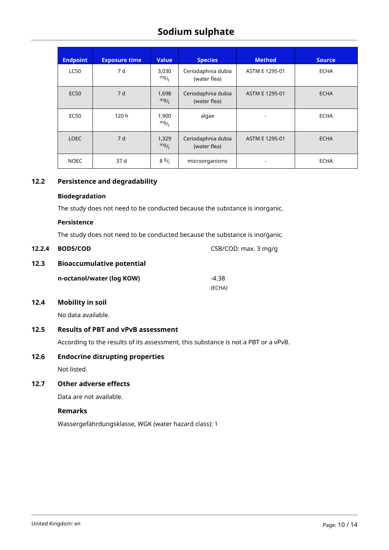| <b>Endpoint</b> | <b>Exposure time</b> | <b>Value</b>  | <b>Species</b>                     | <b>Method</b>  | <b>Source</b> |
|-----------------|----------------------|---------------|------------------------------------|----------------|---------------|
| <b>LC50</b>     | 7 d                  | 3,030<br>mg/1 | Ceriodaphnia dubia<br>(water flea) | ASTM E 1295-01 | <b>ECHA</b>   |
| <b>EC50</b>     | 7 d                  | 1,698<br>mg/  | Ceriodaphnia dubia<br>(water flea) | ASTM E 1295-01 | <b>ECHA</b>   |
| <b>EC50</b>     | 120h                 | 1,900<br>mg/  | algae                              |                | <b>ECHA</b>   |
| <b>LOEC</b>     | 7 d                  | 1,329<br>mg/1 | Ceriodaphnia dubia<br>(water flea) | ASTM E 1295-01 | <b>ECHA</b>   |
| <b>NOEC</b>     | 37 d                 | 89/1          | microorganisms                     | ٠              | <b>ECHA</b>   |

**12.2.5 CSB/COD: max. 3 mg/g** 

## **12.2 Persistence and degradability**

### **Biodegradation**

The study does not need to be conducted because the substance is inorganic.

#### **Persistence**

The study does not need to be conducted because the substance is inorganic.

### **12.3 Bioaccumulative potential**

| n-octanol/water (log KOW) | -4.38  |
|---------------------------|--------|
|                           | (ECHA) |

# **12.4 Mobility in soil**

No data available.

### **12.5 Results of PBT and vPvB assessment**

According to the results of its assessment, this substance is not a PBT or a vPvB.

## **12.6 Endocrine disrupting properties**

Not listed.

# **12.7 Other adverse effects**

Data are not available.

### **Remarks**

Wassergefährdungsklasse, WGK (water hazard class): 1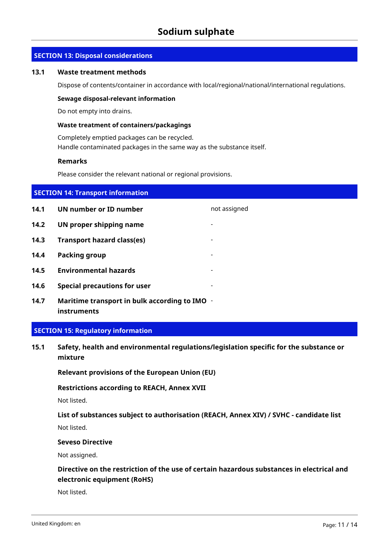### **SECTION 13: Disposal considerations**

#### **13.1 Waste treatment methods**

Dispose of contents/container in accordance with local/regional/national/international regulations.

#### **Sewage disposal-relevant information**

Do not empty into drains.

### **Waste treatment of containers/packagings**

Completely emptied packages can be recycled. Handle contaminated packages in the same way as the substance itself.

#### **Remarks**

Please consider the relevant national or regional provisions.

| <b>SECTION 14: Transport information</b> |                                                              |                |  |  |
|------------------------------------------|--------------------------------------------------------------|----------------|--|--|
| 14.1                                     | UN number or ID number                                       | not assigned   |  |  |
| 14.2                                     | UN proper shipping name                                      |                |  |  |
| 14.3                                     | <b>Transport hazard class(es)</b>                            |                |  |  |
| 14.4                                     | <b>Packing group</b>                                         |                |  |  |
| 14.5                                     | <b>Environmental hazards</b>                                 |                |  |  |
| 14.6                                     | <b>Special precautions for user</b>                          | $\blacksquare$ |  |  |
| 14.7                                     | Maritime transport in bulk according to IMO -<br>instruments |                |  |  |

#### **SECTION 15: Regulatory information**

**15.1 Safety, health and environmental regulations/legislation specific for the substance or mixture**

**Relevant provisions of the European Union (EU)**

#### **Restrictions according to REACH, Annex XVII**

Not listed.

### **List of substances subject to authorisation (REACH, Annex XIV) / SVHC - candidate list**

Not listed.

#### **Seveso Directive**

Not assigned.

# **Directive on the restriction of the use of certain hazardous substances in electrical and electronic equipment (RoHS)**

Not listed.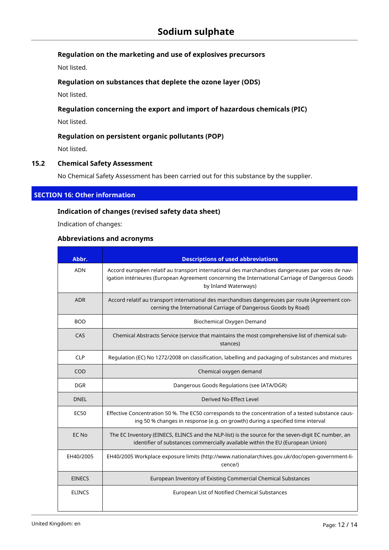# **Regulation on the marketing and use of explosives precursors**

Not listed.

## **Regulation on substances that deplete the ozone layer (ODS)**

Not listed.

# **Regulation concerning the export and import of hazardous chemicals (PIC)**

Not listed.

## **Regulation on persistent organic pollutants (POP)**

Not listed.

## **15.2 Chemical Safety Assessment**

No Chemical Safety Assessment has been carried out for this substance by the supplier.

## **SECTION 16: Other information**

## **Indication of changes (revised safety data sheet)**

Indication of changes:

### **Abbreviations and acronyms**

| Abbr.         | <b>Descriptions of used abbreviations</b>                                                                                                                                                                                     |
|---------------|-------------------------------------------------------------------------------------------------------------------------------------------------------------------------------------------------------------------------------|
| <b>ADN</b>    | Accord européen relatif au transport international des marchandises dangereuses par voies de nav-<br>igation intérieures (European Agreement concerning the International Carriage of Dangerous Goods<br>by Inland Waterways) |
| <b>ADR</b>    | Accord relatif au transport international des marchandises dangereuses par route (Agreement con-<br>cerning the International Carriage of Dangerous Goods by Road)                                                            |
| <b>BOD</b>    | Biochemical Oxygen Demand                                                                                                                                                                                                     |
| CAS           | Chemical Abstracts Service (service that maintains the most comprehensive list of chemical sub-<br>stances)                                                                                                                   |
| <b>CLP</b>    | Regulation (EC) No 1272/2008 on classification, labelling and packaging of substances and mixtures                                                                                                                            |
| COD           | Chemical oxygen demand                                                                                                                                                                                                        |
| <b>DGR</b>    | Dangerous Goods Regulations (see IATA/DGR)                                                                                                                                                                                    |
| <b>DNEL</b>   | Derived No-Effect Level                                                                                                                                                                                                       |
| <b>EC50</b>   | Effective Concentration 50 %. The EC50 corresponds to the concentration of a tested substance caus-<br>ing 50 % changes in response (e.g. on growth) during a specified time interval                                         |
| EC No         | The EC Inventory (EINECS, ELINCS and the NLP-list) is the source for the seven-digit EC number, an<br>identifier of substances commercially available within the EU (European Union)                                          |
| EH40/2005     | EH40/2005 Workplace exposure limits (http://www.nationalarchives.gov.uk/doc/open-government-li-<br>cence/)                                                                                                                    |
| <b>EINECS</b> | European Inventory of Existing Commercial Chemical Substances                                                                                                                                                                 |
| <b>ELINCS</b> | European List of Notified Chemical Substances                                                                                                                                                                                 |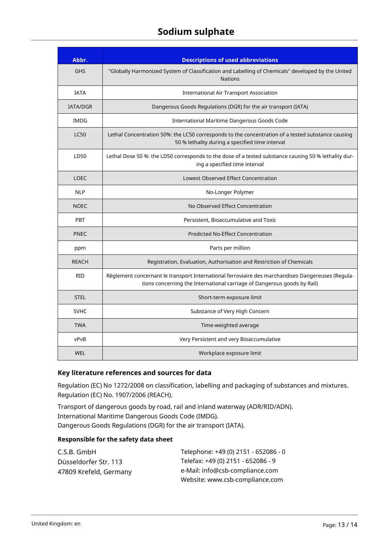| Abbr.           | <b>Descriptions of used abbreviations</b>                                                                                                                                    |
|-----------------|------------------------------------------------------------------------------------------------------------------------------------------------------------------------------|
| <b>GHS</b>      | "Globally Harmonized System of Classification and Labelling of Chemicals" developed by the United<br><b>Nations</b>                                                          |
| <b>IATA</b>     | <b>International Air Transport Association</b>                                                                                                                               |
| <b>IATA/DGR</b> | Dangerous Goods Regulations (DGR) for the air transport (IATA)                                                                                                               |
| IMDG            | International Maritime Dangerous Goods Code                                                                                                                                  |
| <b>LC50</b>     | Lethal Concentration 50%: the LC50 corresponds to the concentration of a tested substance causing<br>50 % lethality during a specified time interval                         |
| LD50            | Lethal Dose 50 %: the LD50 corresponds to the dose of a tested substance causing 50 % lethality dur-<br>ing a specified time interval                                        |
| <b>LOEC</b>     | Lowest Observed Effect Concentration                                                                                                                                         |
| <b>NLP</b>      | No-Longer Polymer                                                                                                                                                            |
| <b>NOEC</b>     | No Observed Effect Concentration                                                                                                                                             |
| PBT             | Persistent, Bioaccumulative and Toxic                                                                                                                                        |
| <b>PNEC</b>     | <b>Predicted No-Effect Concentration</b>                                                                                                                                     |
| ppm             | Parts per million                                                                                                                                                            |
| <b>REACH</b>    | Registration, Evaluation, Authorisation and Restriction of Chemicals                                                                                                         |
| <b>RID</b>      | Règlement concernant le transport International ferroviaire des marchandises Dangereuses (Regula-<br>tions concerning the International carriage of Dangerous goods by Rail) |
| <b>STEL</b>     | Short-term exposure limit                                                                                                                                                    |
| <b>SVHC</b>     | Substance of Very High Concern                                                                                                                                               |
| <b>TWA</b>      | Time-weighted average                                                                                                                                                        |
| vPvB            | Very Persistent and very Bioaccumulative                                                                                                                                     |
| <b>WEL</b>      | Workplace exposure limit                                                                                                                                                     |

## **Key literature references and sources for data**

Regulation (EC) No 1272/2008 on classification, labelling and packaging of substances and mixtures. Regulation (EC) No. 1907/2006 (REACH).

Transport of dangerous goods by road, rail and inland waterway (ADR/RID/ADN). International Maritime Dangerous Goods Code (IMDG). Dangerous Goods Regulations (DGR) for the air transport (IATA).

### **Responsible for the safety data sheet**

| C.S.B. GmbH            | Telephone: +49 (0) 2151 - 652086 - 0 |
|------------------------|--------------------------------------|
| Düsseldorfer Str. 113  | Telefax: +49 (0) 2151 - 652086 - 9   |
| 47809 Krefeld, Germany | e-Mail: info@csb-compliance.com      |
|                        | Website: www.csb-compliance.com      |